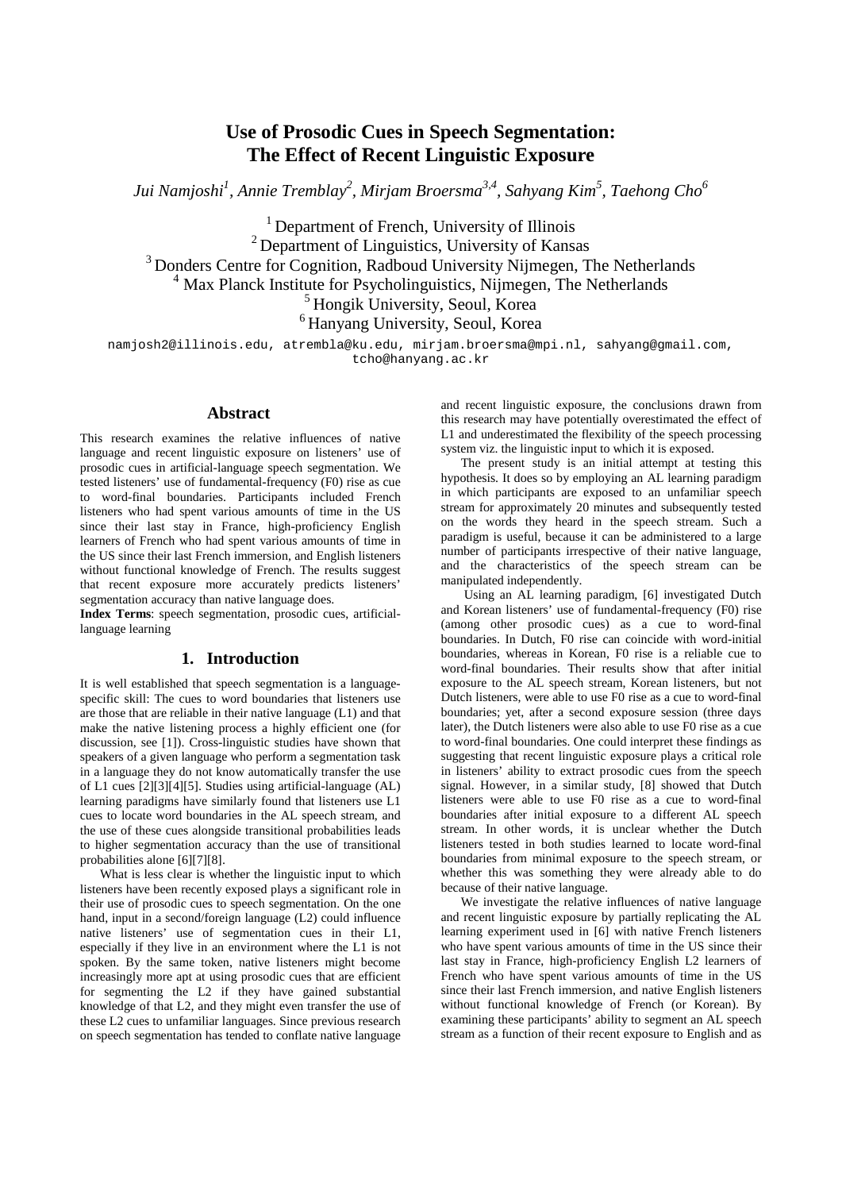# **Use of Prosodic Cues in Speech Segmentation: The Effect of Recent Linguistic Exposure**

*Jui Namjoshi<sup>1</sup> , Annie Tremblay2 , Mirjam Broersma3,4, Sahyang Kim5 , Taehong Cho<sup>6</sup>*

<sup>1</sup> Department of French, University of Illinois 2 Department of Linguistics, University of Kansas <sup>3</sup> Donders Centre for Cognition, Radboud University Nijmegen, The Netherlands  $4$  Max Planck Institute for Psycholinguistics, Nijmegen, The Netherlands <sup>5</sup> Hongik University, Seoul, Korea <sup>6</sup> Hanyang University, Seoul, Korea

namjosh2@illinois.edu, atrembla@ku.edu, mirjam.broersma@mpi.nl, sahyang@gmail.com, tcho@hanyang.ac.kr

# **Abstract**

This research examines the relative influences of native language and recent linguistic exposure on listeners' use of prosodic cues in artificial-language speech segmentation. We tested listeners' use of fundamental-frequency (F0) rise as cue to word-final boundaries. Participants included French listeners who had spent various amounts of time in the US since their last stay in France, high-proficiency English learners of French who had spent various amounts of time in the US since their last French immersion, and English listeners without functional knowledge of French. The results suggest that recent exposure more accurately predicts listeners' segmentation accuracy than native language does.

**Index Terms**: speech segmentation, prosodic cues, artificiallanguage learning

## **1. Introduction**

It is well established that speech segmentation is a languagespecific skill: The cues to word boundaries that listeners use are those that are reliable in their native language (L1) and that make the native listening process a highly efficient one (for discussion, see [\[1\]\)](#page-3-0). Cross-linguistic studies have shown that speakers of a given language who perform a segmentation task in a language they do not know automatically transfer the use of L1 cues [\[2\]\[3\]](#page-3-1)[\[4\]\[5\].](#page-3-2) Studies using artificial-language (AL) learning paradigms have similarly found that listeners use L1 cues to locate word boundaries in the AL speech stream, and the use of these cues alongside transitional probabilities leads to higher segmentation accuracy than the use of transitional probabilities alone [\[6\]\[7\]](#page-3-3)[\[8\].](#page-3-4)

What is less clear is whether the linguistic input to which listeners have been recently exposed plays a significant role in their use of prosodic cues to speech segmentation. On the one hand, input in a second/foreign language (L2) could influence native listeners' use of segmentation cues in their L1, especially if they live in an environment where the L1 is not spoken. By the same token, native listeners might become increasingly more apt at using prosodic cues that are efficient for segmenting the L2 if they have gained substantial knowledge of that L2, and they might even transfer the use of these L2 cues to unfamiliar languages. Since previous research on speech segmentation has tended to conflate native language

and recent linguistic exposure, the conclusions drawn from this research may have potentially overestimated the effect of L1 and underestimated the flexibility of the speech processing system viz. the linguistic input to which it is exposed.

The present study is an initial attempt at testing this hypothesis. It does so by employing an AL learning paradigm in which participants are exposed to an unfamiliar speech stream for approximately 20 minutes and subsequently tested on the words they heard in the speech stream. Such a paradigm is useful, because it can be administered to a large number of participants irrespective of their native language, and the characteristics of the speech stream can be manipulated independently.

Using an AL learning paradigm, [\[6\]](#page-3-3) investigated Dutch and Korean listeners' use of fundamental-frequency (F0) rise (among other prosodic cues) as a cue to word-final boundaries. In Dutch, F0 rise can coincide with word-initial boundaries, whereas in Korean, F0 rise is a reliable cue to word-final boundaries. Their results show that after initial exposure to the AL speech stream, Korean listeners, but not Dutch listeners, were able to use F0 rise as a cue to word-final boundaries; yet, after a second exposure session (three days later), the Dutch listeners were also able to use F0 rise as a cue to word-final boundaries. One could interpret these findings as suggesting that recent linguistic exposure plays a critical role in listeners' ability to extract prosodic cues from the speech signal. However, in a similar study, [\[8\]](#page-3-4) showed that Dutch listeners were able to use F0 rise as a cue to word-final boundaries after initial exposure to a different AL speech stream. In other words, it is unclear whether the Dutch listeners tested in both studies learned to locate word-final boundaries from minimal exposure to the speech stream, or whether this was something they were already able to do because of their native language.

We investigate the relative influences of native language and recent linguistic exposure by partially replicating the AL learning experiment used in [\[6\]](#page-3-3) with native French listeners who have spent various amounts of time in the US since their last stay in France, high-proficiency English L2 learners of French who have spent various amounts of time in the US since their last French immersion, and native English listeners without functional knowledge of French (or Korean). By examining these participants' ability to segment an AL speech stream as a function of their recent exposure to English and as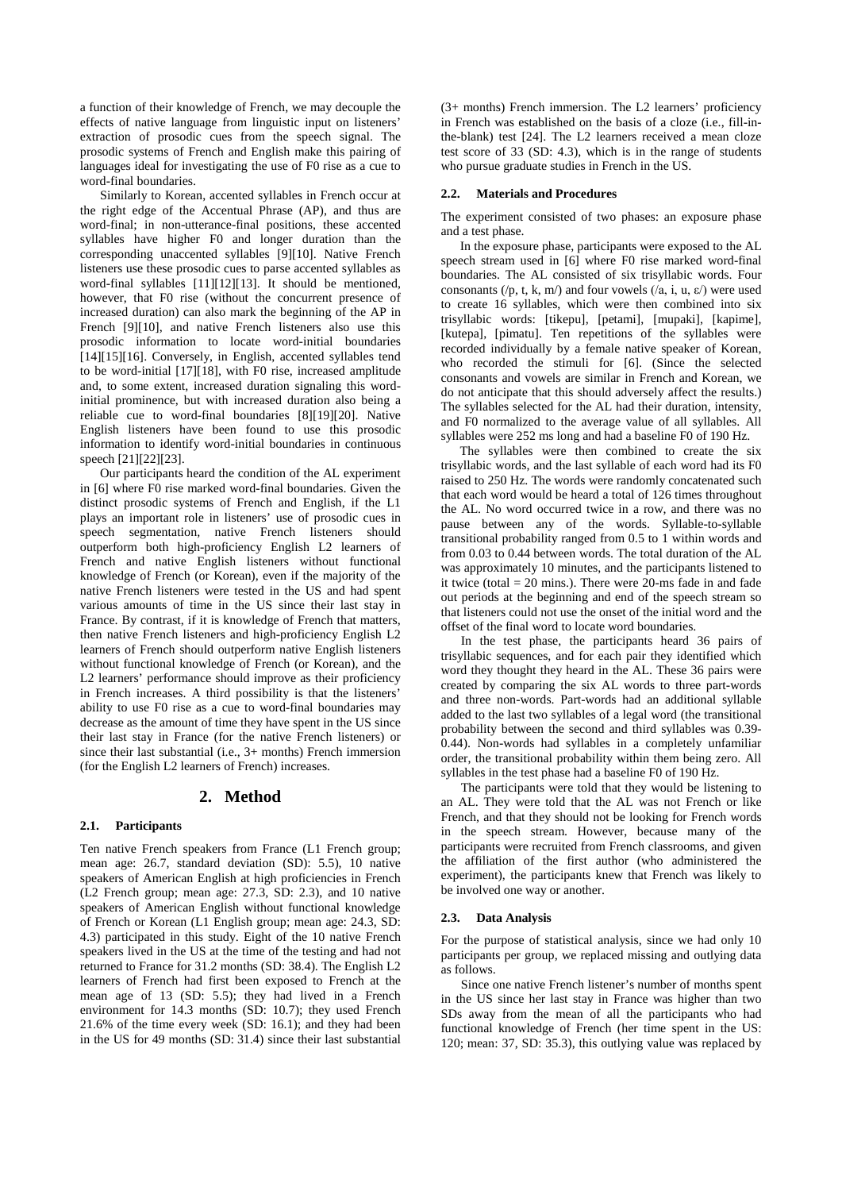a function of their knowledge of French, we may decouple the effects of native language from linguistic input on listeners' extraction of prosodic cues from the speech signal. The prosodic systems of French and English make this pairing of languages ideal for investigating the use of F0 rise as a cue to word-final boundaries.

Similarly to Korean, accented syllables in French occur at the right edge of the Accentual Phrase (AP), and thus are word-final; in non-utterance-final positions, these accented syllables have higher F0 and longer duration than the corresponding unaccented syllables [\[9\]\[10\].](#page-3-5) Native French listeners use these prosodic cues to parse accented syllables as word-final syllables [\[11\]\[12\]](#page-3-6)[\[13\].](#page-3-7) It should be mentioned, however, that F0 rise (without the concurrent presence of increased duration) can also mark the beginning of the AP in French [\[9\]\[10\],](#page-3-5) and native French listeners also use this prosodic information to locate word-initial boundaries [\[14\]\[15\]](#page-3-8)[\[16\].](#page-3-9) Conversely, in English, accented syllables tend to be word-initial [\[17\]\[18\],](#page-3-10) with F0 rise, increased amplitude and, to some extent, increased duration signaling this wordinitial prominence, but with increased duration also being a reliable cue to word-final boundaries [\[8\]\[19\]](#page-3-4)[\[20\].](#page-3-11) Native English listeners have been found to use this prosodic information to identify word-initial boundaries in continuous speec[h \[21\]\[22\]](#page-3-12)[\[23\].](#page-3-13)

Our participants heard the condition of the AL experiment in [\[6\]](#page-3-3) where F0 rise marked word-final boundaries. Given the distinct prosodic systems of French and English, if the L1 plays an important role in listeners' use of prosodic cues in speech segmentation, native French listeners should outperform both high-proficiency English L2 learners of French and native English listeners without functional knowledge of French (or Korean), even if the majority of the native French listeners were tested in the US and had spent various amounts of time in the US since their last stay in France. By contrast, if it is knowledge of French that matters, then native French listeners and high-proficiency English L2 learners of French should outperform native English listeners without functional knowledge of French (or Korean), and the L2 learners' performance should improve as their proficiency in French increases. A third possibility is that the listeners' ability to use F0 rise as a cue to word-final boundaries may decrease as the amount of time they have spent in the US since their last stay in France (for the native French listeners) or since their last substantial (i.e., 3+ months) French immersion (for the English L2 learners of French) increases.

# **2. Method**

### **2.1. Participants**

Ten native French speakers from France (L1 French group; mean age: 26.7, standard deviation (SD): 5.5), 10 native speakers of American English at high proficiencies in French (L2 French group; mean age: 27.3, SD: 2.3), and 10 native speakers of American English without functional knowledge of French or Korean (L1 English group; mean age: 24.3, SD: 4.3) participated in this study. Eight of the 10 native French speakers lived in the US at the time of the testing and had not returned to France for 31.2 months (SD: 38.4). The English L2 learners of French had first been exposed to French at the mean age of 13 (SD: 5.5); they had lived in a French environment for 14.3 months (SD: 10.7); they used French 21.6% of the time every week (SD: 16.1); and they had been in the US for 49 months (SD: 31.4) since their last substantial

(3+ months) French immersion. The L2 learners' proficiency in French was established on the basis of a cloze (i.e., fill-inthe-blank) test [\[24\].](#page-3-14) The L2 learners received a mean cloze test score of 33 (SD: 4.3), which is in the range of students who pursue graduate studies in French in the US.

### **2.2. Materials and Procedures**

The experiment consisted of two phases: an exposure phase and a test phase.

In the exposure phase, participants were exposed to the AL speech stream used in [\[6\]](#page-3-3) where F0 rise marked word-final boundaries. The AL consisted of six trisyllabic words. Four consonants (/p, t, k, m/) and four vowels (/a, i, u,  $\varepsilon$ /) were used to create 16 syllables, which were then combined into six trisyllabic words: [tikepu], [petami], [mupaki], [kapime], [kutepa], [pimatu]. Ten repetitions of the syllables were recorded individually by a female native speaker of Korean, who recorded the stimuli for [\[6\].](#page-3-3) (Since the selected consonants and vowels are similar in French and Korean, we do not anticipate that this should adversely affect the results.) The syllables selected for the AL had their duration, intensity, and F0 normalized to the average value of all syllables. All syllables were 252 ms long and had a baseline F0 of 190 Hz.

The syllables were then combined to create the six trisyllabic words, and the last syllable of each word had its F0 raised to 250 Hz. The words were randomly concatenated such that each word would be heard a total of 126 times throughout the AL. No word occurred twice in a row, and there was no pause between any of the words. Syllable-to-syllable transitional probability ranged from 0.5 to 1 within words and from 0.03 to 0.44 between words. The total duration of the AL was approximately 10 minutes, and the participants listened to it twice (total = 20 mins.). There were 20-ms fade in and fade out periods at the beginning and end of the speech stream so that listeners could not use the onset of the initial word and the offset of the final word to locate word boundaries.

In the test phase, the participants heard 36 pairs of trisyllabic sequences, and for each pair they identified which word they thought they heard in the AL. These 36 pairs were created by comparing the six AL words to three part-words and three non-words. Part-words had an additional syllable added to the last two syllables of a legal word (the transitional probability between the second and third syllables was 0.39- 0.44). Non-words had syllables in a completely unfamiliar order, the transitional probability within them being zero. All syllables in the test phase had a baseline F0 of 190 Hz.

The participants were told that they would be listening to an AL. They were told that the AL was not French or like French, and that they should not be looking for French words in the speech stream. However, because many of the participants were recruited from French classrooms, and given the affiliation of the first author (who administered the experiment), the participants knew that French was likely to be involved one way or another.

#### **2.3. Data Analysis**

For the purpose of statistical analysis, since we had only 10 participants per group, we replaced missing and outlying data as follows.

Since one native French listener's number of months spent in the US since her last stay in France was higher than two SDs away from the mean of all the participants who had functional knowledge of French (her time spent in the US: 120; mean: 37, SD: 35.3), this outlying value was replaced by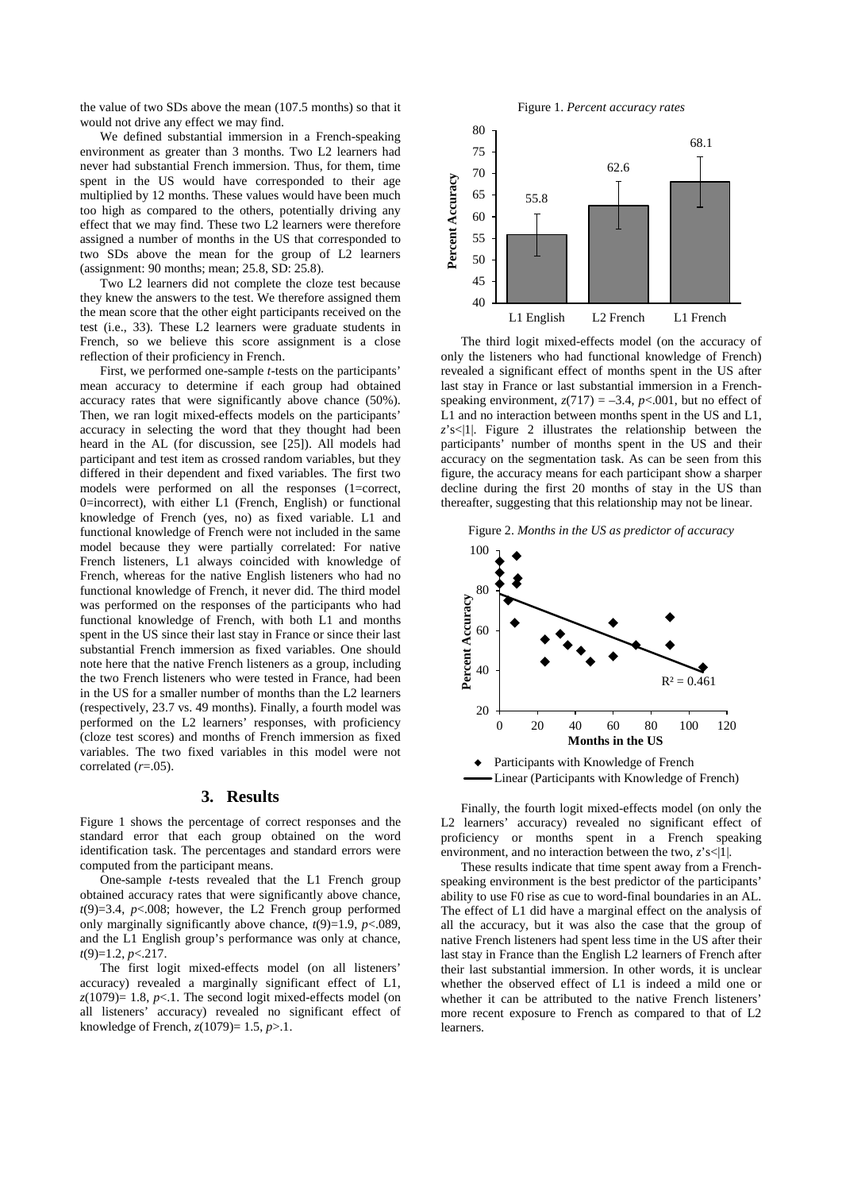the value of two SDs above the mean (107.5 months) so that it would not drive any effect we may find.

We defined substantial immersion in a French-speaking environment as greater than 3 months. Two L2 learners had never had substantial French immersion. Thus, for them, time spent in the US would have corresponded to their age multiplied by 12 months. These values would have been much too high as compared to the others, potentially driving any effect that we may find. These two L2 learners were therefore assigned a number of months in the US that corresponded to two SDs above the mean for the group of L2 learners (assignment: 90 months; mean; 25.8, SD: 25.8).

Two L2 learners did not complete the cloze test because they knew the answers to the test. We therefore assigned them the mean score that the other eight participants received on the test (i.e., 33). These L2 learners were graduate students in French, so we believe this score assignment is a close reflection of their proficiency in French.

First, we performed one-sample *t*-tests on the participants' mean accuracy to determine if each group had obtained accuracy rates that were significantly above chance (50%). Then, we ran logit mixed-effects models on the participants' accuracy in selecting the word that they thought had been heard in the AL (for discussion, see [\[25\]\)](#page-3-15). All models had participant and test item as crossed random variables, but they differed in their dependent and fixed variables. The first two models were performed on all the responses (1=correct, 0=incorrect), with either L1 (French, English) or functional knowledge of French (yes, no) as fixed variable. L1 and functional knowledge of French were not included in the same model because they were partially correlated: For native French listeners, L1 always coincided with knowledge of French, whereas for the native English listeners who had no functional knowledge of French, it never did. The third model was performed on the responses of the participants who had functional knowledge of French, with both L1 and months spent in the US since their last stay in France or since their last substantial French immersion as fixed variables. One should note here that the native French listeners as a group, including the two French listeners who were tested in France, had been in the US for a smaller number of months than the L2 learners (respectively, 23.7 vs. 49 months). Finally, a fourth model was performed on the L2 learners' responses, with proficiency (cloze test scores) and months of French immersion as fixed variables. The two fixed variables in this model were not correlated (*r*=.05).

## **3. Results**

Figure 1 shows the percentage of correct responses and the standard error that each group obtained on the word identification task. The percentages and standard errors were computed from the participant means.

One-sample *t*-tests revealed that the L1 French group obtained accuracy rates that were significantly above chance,  $t(9)=3.4$ ,  $p<.008$ ; however, the L2 French group performed only marginally significantly above chance,  $t(9)=1.9$ ,  $p<.089$ , and the L1 English group's performance was only at chance, *t*(9)=1.2, *p*<.217.

The first logit mixed-effects model (on all listeners' accuracy) revealed a marginally significant effect of L1,  $z(1079)$ = 1.8, *p*<.1. The second logit mixed-effects model (on all listeners' accuracy) revealed no significant effect of knowledge of French, *z*(1079)= 1.5, *p*>.1.

Figure 1. *Percent accuracy rates*



The third logit mixed-effects model (on the accuracy of only the listeners who had functional knowledge of French) revealed a significant effect of months spent in the US after last stay in France or last substantial immersion in a Frenchspeaking environment,  $z(717) = -3.4$ ,  $p < .001$ , but no effect of L1 and no interaction between months spent in the US and L1, *z*'s<|1|. Figure 2 illustrates the relationship between the participants' number of months spent in the US and their accuracy on the segmentation task. As can be seen from this figure, the accuracy means for each participant show a sharper decline during the first 20 months of stay in the US than thereafter, suggesting that this relationship may not be linear.

Figure 2. *Months in the US as predictor of accuracy*





Finally, the fourth logit mixed-effects model (on only the L2 learners' accuracy) revealed no significant effect of proficiency or months spent in a French speaking environment, and no interaction between the two,  $z$ 's<|1|.

These results indicate that time spent away from a Frenchspeaking environment is the best predictor of the participants' ability to use F0 rise as cue to word-final boundaries in an AL. The effect of L1 did have a marginal effect on the analysis of all the accuracy, but it was also the case that the group of native French listeners had spent less time in the US after their last stay in France than the English L2 learners of French after their last substantial immersion. In other words, it is unclear whether the observed effect of L1 is indeed a mild one or whether it can be attributed to the native French listeners' more recent exposure to French as compared to that of L2 learners.